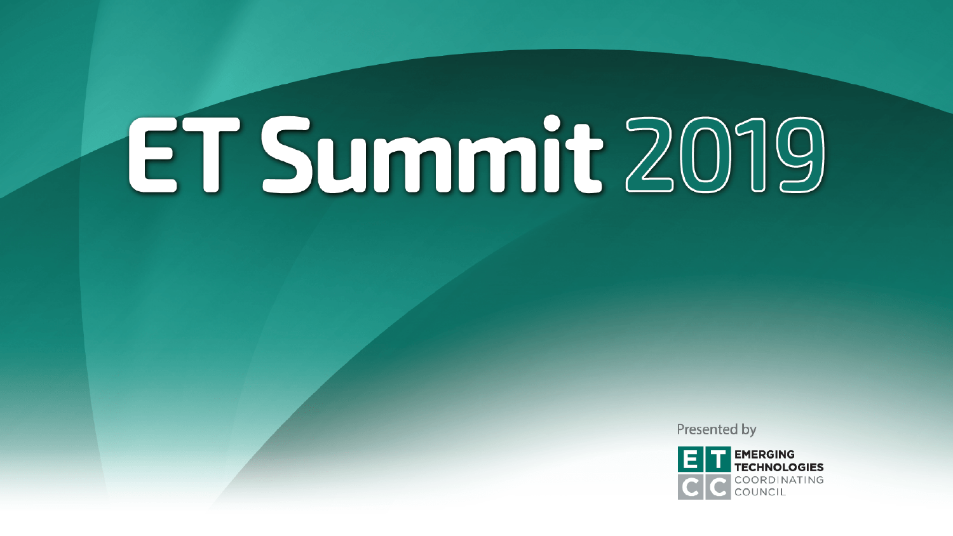Presented by

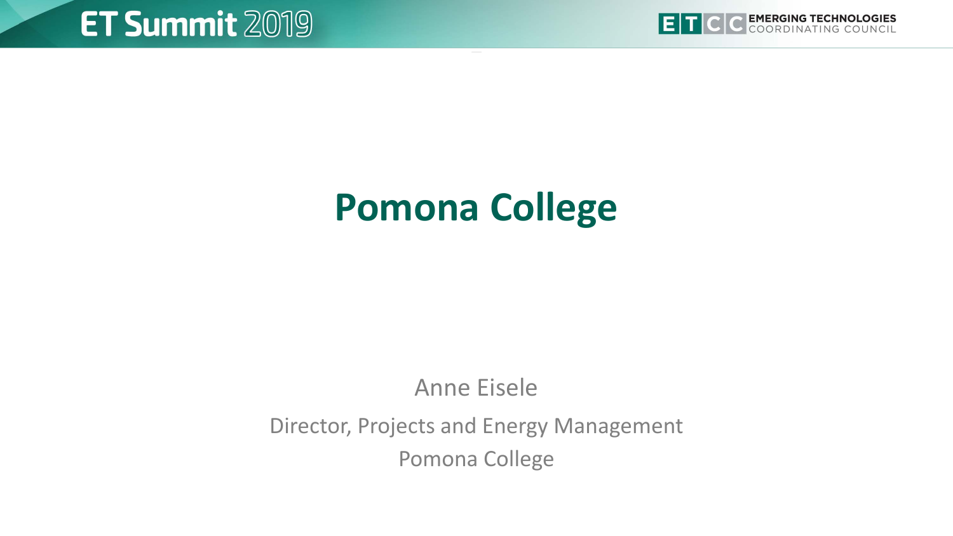

## **Pomona College**

#### Anne Eisele

#### Director, Projects and Energy Management Pomona College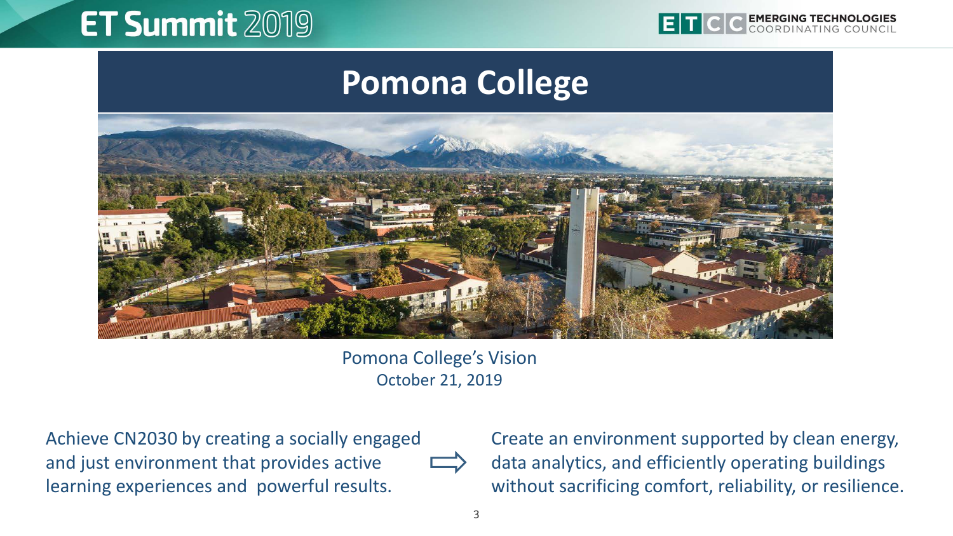

#### **Pomona College**



Pomona College's Vision October 21, 2019

Achieve CN2030 by creating a socially engaged and just environment that provides active learning experiences and powerful results.

Create an environment supported by clean energy, data analytics, and efficiently operating buildings without sacrificing comfort, reliability, or resilience.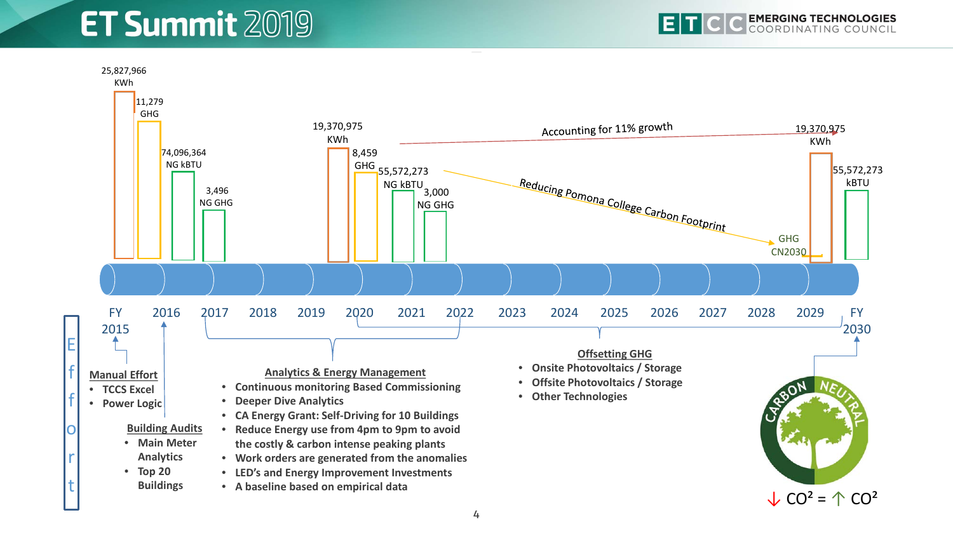